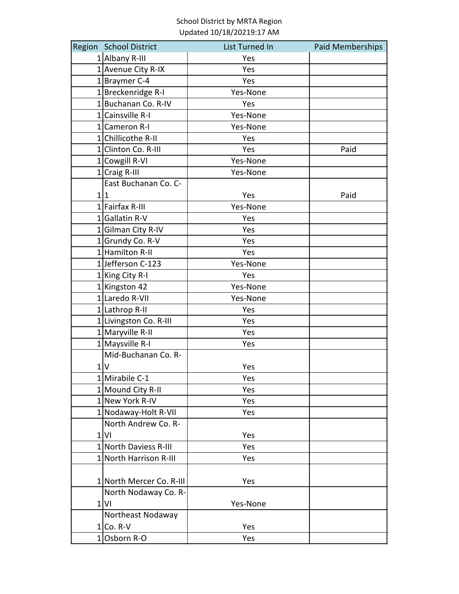| Region School District   | List Turned In | Paid Memberships |
|--------------------------|----------------|------------------|
| $1$ Albany R-III         | Yes            |                  |
| 1 Avenue City R-IX       | Yes            |                  |
| $1$  Braymer C-4         | Yes            |                  |
| $1$ Breckenridge R-I     | Yes-None       |                  |
| 1 Buchanan Co. R-IV      | Yes            |                  |
| $1$ Cainsville R-I       | Yes-None       |                  |
| 1 Cameron R-I            | Yes-None       |                  |
| 1 Chillicothe R-II       | Yes            |                  |
| 1 Clinton Co. R-III      | Yes            | Paid             |
| 1 Cowgill R-VI           | Yes-None       |                  |
| $1$ Craig R-III          | Yes-None       |                  |
| East Buchanan Co. C-     |                |                  |
| 1 1                      | Yes            | Paid             |
| $1$ Fairfax R-III        | Yes-None       |                  |
| $1$ Gallatin R-V         | Yes            |                  |
| 1 Gilman City R-IV       | Yes            |                  |
| $1$ Grundy Co. R-V       | Yes            |                  |
| 1 Hamilton R-II          | Yes            |                  |
| 1Jefferson C-123         | Yes-None       |                  |
| 1 King City R-I          | Yes            |                  |
| 1 Kingston 42            | Yes-None       |                  |
| 1 Laredo R-VII           | Yes-None       |                  |
| 1 Lathrop R-II           | Yes            |                  |
| 1 Livingston Co. R-III   | Yes            |                  |
| $1$ Maryville R-II       | Yes            |                  |
| $1$ Maysville R-I        | Yes            |                  |
| Mid-Buchanan Co. R-      |                |                  |
| 1 V                      | Yes            |                  |
| $1$ Mirabile C-1         | Yes            |                  |
| 1 Mound City R-II        | Yes            |                  |
| 1 New York R-IV          | Yes            |                  |
| 1 Nodaway-Holt R-VII     | Yes            |                  |
| North Andrew Co. R-      |                |                  |
| $1$ VI                   | Yes            |                  |
| 1 North Daviess R-III    | Yes            |                  |
| 1 North Harrison R-III   | Yes            |                  |
|                          |                |                  |
| 1 North Mercer Co. R-III | Yes            |                  |
| North Nodaway Co. R-     |                |                  |
| $1$ VI                   | Yes-None       |                  |
| Northeast Nodaway        |                |                  |
| $1 Co. R-V$              | Yes            |                  |
| $1$ Osborn R-O           | Yes            |                  |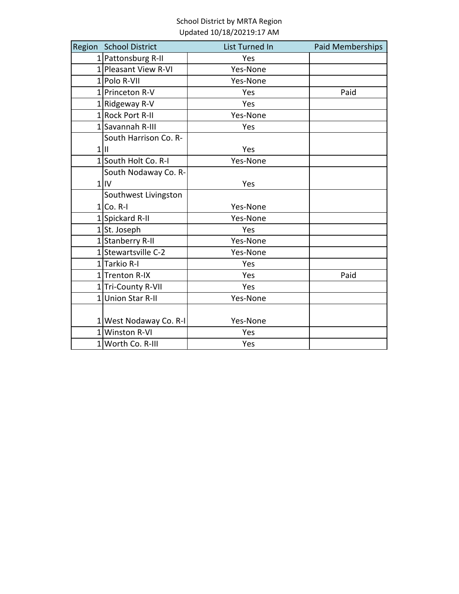| Region School District | List Turned In | Paid Memberships |
|------------------------|----------------|------------------|
| 1  Pattonsburg R-II    | Yes            |                  |
| 1 Pleasant View R-VI   | Yes-None       |                  |
| $1$  Polo R-VII        | Yes-None       |                  |
| 1 Princeton R-V        | Yes            | Paid             |
| $1$ Ridgeway R-V       | Yes            |                  |
| 1 Rock Port R-II       | Yes-None       |                  |
| 1 Savannah R-III       | Yes            |                  |
| South Harrison Co. R-  |                |                  |
| $1$                    | Yes            |                  |
| 1 South Holt Co. R-I   | Yes-None       |                  |
| South Nodaway Co. R-   |                |                  |
| $1$ IV                 | Yes            |                  |
| Southwest Livingston   |                |                  |
| $1 Co. R-1$            | Yes-None       |                  |
| 1 Spickard R-II        | Yes-None       |                  |
| $1$ St. Joseph         | Yes            |                  |
| 1 Stanberry R-II       | Yes-None       |                  |
| 1 Stewartsville C-2    | Yes-None       |                  |
| $1$ Tarkio R-I         | Yes            |                  |
| 1 Trenton R-IX         | Yes            | Paid             |
| 1 Tri-County R-VII     | Yes            |                  |
| 1 Union Star R-II      | Yes-None       |                  |
|                        |                |                  |
| 1 West Nodaway Co. R-I | Yes-None       |                  |
| 1 Winston R-VI         | Yes            |                  |
| 1 Worth Co. R-III      | Yes            |                  |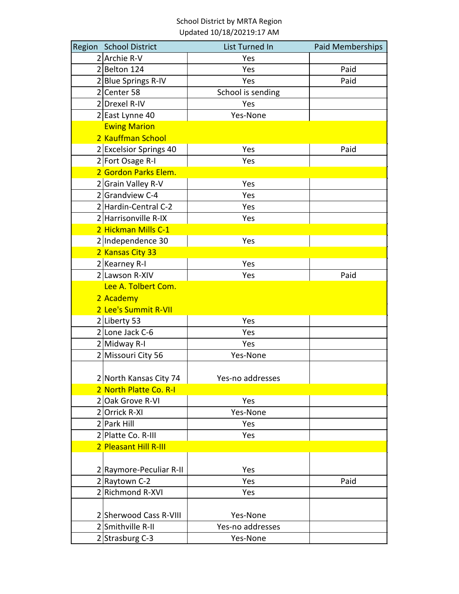| Region School District  | List Turned In    | Paid Memberships |
|-------------------------|-------------------|------------------|
| $2$ Archie R-V          | Yes               |                  |
| $2$ Belton 124          | Yes               | Paid             |
| 2 Blue Springs R-IV     | Yes               | Paid             |
| $2$ Center 58           | School is sending |                  |
| 2 Drexel R-IV           | Yes               |                  |
| 2 East Lynne 40         | Yes-None          |                  |
| <b>Ewing Marion</b>     |                   |                  |
| 2 Kauffman School       |                   |                  |
| 2 Excelsior Springs 40  | Yes               | Paid             |
| 2 Fort Osage R-I        | Yes               |                  |
| 2 Gordon Parks Elem.    |                   |                  |
| 2 Grain Valley R-V      | Yes               |                  |
| 2 Grandview C-4         | Yes               |                  |
| 2 Hardin-Central C-2    | Yes               |                  |
| 2 Harrisonville R-IX    | Yes               |                  |
| 2 Hickman Mills C-1     |                   |                  |
| 2 Independence 30       | Yes               |                  |
| 2 Kansas City 33        |                   |                  |
| $2$ Kearney R-I         | Yes               |                  |
| 2 Lawson R-XIV          | Yes               | Paid             |
| Lee A. Tolbert Com.     |                   |                  |
| 2 Academy               |                   |                  |
| 2 Lee's Summit R-VII    |                   |                  |
| 2 Liberty 53            | Yes               |                  |
| 2 Lone Jack C-6         | Yes               |                  |
| 2 Midway R-I            | Yes               |                  |
| 2 Missouri City 56      | Yes-None          |                  |
|                         |                   |                  |
| 2 North Kansas City 74  | Yes-no addresses  |                  |
| 2 North Platte Co. R-I  |                   |                  |
| 2 Oak Grove R-VI        | Yes               |                  |
| 2 Orrick R-XI           | Yes-None          |                  |
| 2 Park Hill             | Yes               |                  |
| 2 Platte Co. R-III      | Yes               |                  |
| 2 Pleasant Hill R-III   |                   |                  |
|                         |                   |                  |
| 2 Raymore-Peculiar R-II | Yes               |                  |
| 2 Raytown C-2           | Yes               | Paid             |
| 2 Richmond R-XVI        | Yes               |                  |
|                         |                   |                  |
| 2 Sherwood Cass R-VIII  | Yes-None          |                  |
| 2 Smithville R-II       | Yes-no addresses  |                  |
| 2 Strasburg C-3         | Yes-None          |                  |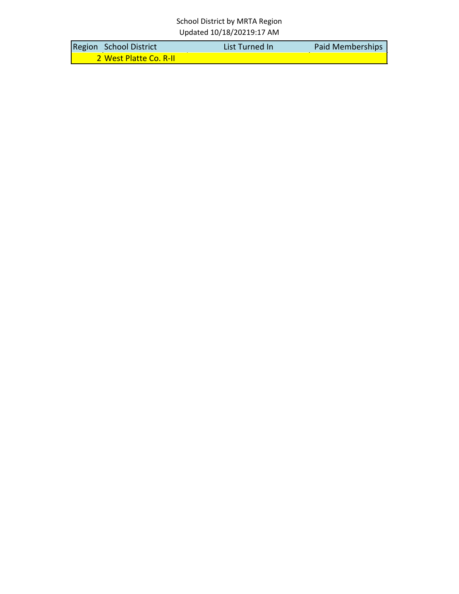| Region School District | List Turned In | Paid Memberships |
|------------------------|----------------|------------------|
| 2 West Platte Co. R-II |                |                  |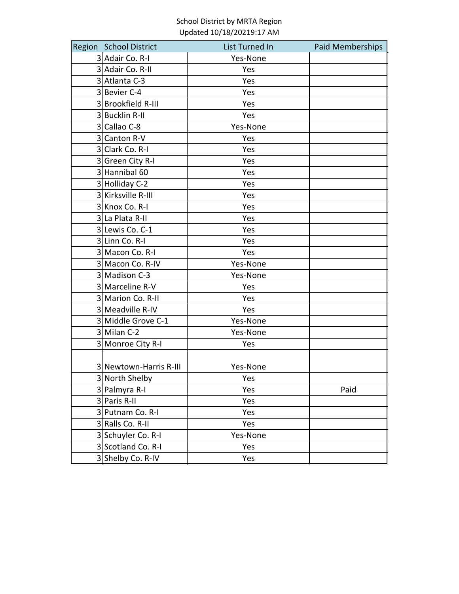| Region School District | List Turned In | Paid Memberships |
|------------------------|----------------|------------------|
| 3 Adair Co. R-I        | Yes-None       |                  |
| 3 Adair Co. R-II       | Yes            |                  |
| 3 Atlanta C-3          | Yes            |                  |
| 3 Bevier C-4           | Yes            |                  |
| 3 Brookfield R-III     | Yes            |                  |
| 3 Bucklin R-II         | Yes            |                  |
| 3 Callao C-8           | Yes-None       |                  |
| 3 Canton R-V           | Yes            |                  |
| 3 Clark Co. R-I        | Yes            |                  |
| 3 Green City R-I       | Yes            |                  |
| 3 Hannibal 60          | Yes            |                  |
| 3 Holliday C-2         | Yes            |                  |
| 3 Kirksville R-III     | Yes            |                  |
| 3 Knox Co. R-I         | Yes            |                  |
| 3 La Plata R-II        | Yes            |                  |
| 3 Lewis Co. C-1        | Yes            |                  |
| 3 Linn Co. R-I         | Yes            |                  |
| 3 Macon Co. R-I        | Yes            |                  |
| 3 Macon Co. R-IV       | Yes-None       |                  |
| 3 Madison C-3          | Yes-None       |                  |
| 3 Marceline R-V        | Yes            |                  |
| 3 Marion Co. R-II      | Yes            |                  |
| 3 Meadville R-IV       | Yes            |                  |
| 3 Middle Grove C-1     | Yes-None       |                  |
| 3 Milan C-2            | Yes-None       |                  |
| 3 Monroe City R-I      | Yes            |                  |
|                        |                |                  |
| 3 Newtown-Harris R-III | Yes-None       |                  |
| 3 North Shelby         | Yes            |                  |
| 3 Palmyra R-I          | Yes            | Paid             |
| 3 Paris R-II           | Yes            |                  |
| 3 Putnam Co. R-I       | Yes            |                  |
| 3 Ralls Co. R-II       | Yes            |                  |
| 3 Schuyler Co. R-I     | Yes-None       |                  |
| 3 Scotland Co. R-I     | Yes            |                  |
| 3 Shelby Co. R-IV      | Yes            |                  |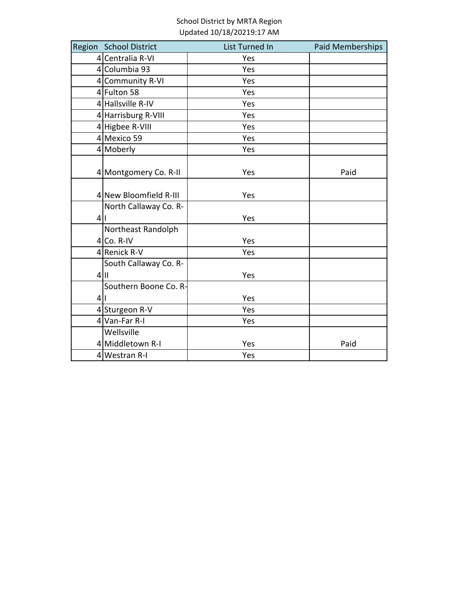|         | Region School District | List Turned In | Paid Memberships |
|---------|------------------------|----------------|------------------|
|         | 4 Centralia R-VI       | Yes            |                  |
|         | 4 Columbia 93          | Yes            |                  |
|         | 4 Community R-VI       | Yes            |                  |
|         | 4 Fulton 58            | Yes            |                  |
|         | 4 Hallsville R-IV      | Yes            |                  |
|         | 4 Harrisburg R-VIII    | Yes            |                  |
|         | 4 Higbee R-VIII        | Yes            |                  |
|         | 4 Mexico 59            | Yes            |                  |
|         | $4$ Moberly            | Yes            |                  |
|         | 4 Montgomery Co. R-II  | Yes            | Paid             |
|         | 4 New Bloomfield R-III | Yes            |                  |
|         | North Callaway Co. R-  |                |                  |
| 4 1     |                        | Yes            |                  |
|         | Northeast Randolph     |                |                  |
|         | $4 Co. R-IV$           | Yes            |                  |
|         | 4 Renick R-V           | Yes            |                  |
|         | South Callaway Co. R-  |                |                  |
|         | $4$  II                | Yes            |                  |
|         | Southern Boone Co. R-  |                |                  |
| $\vert$ | Ш                      | Yes            |                  |
|         | 4 Sturgeon R-V         | Yes            |                  |
|         | 4 Van-Far R-I          | Yes            |                  |
|         | Wellsville             |                |                  |
|         | 4 Middletown R-I       | Yes            | Paid             |
|         | $4$ Westran R-I        | Yes            |                  |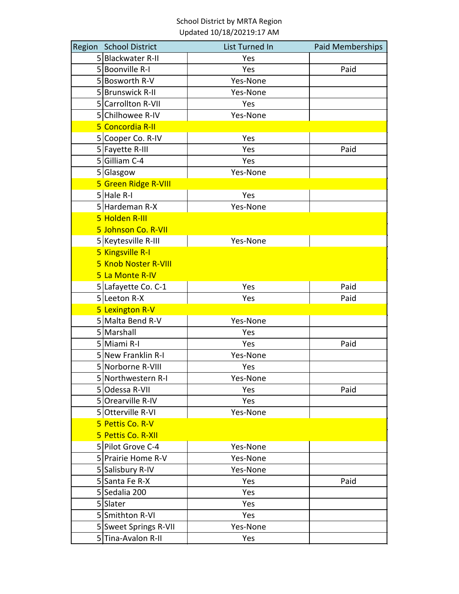| Region School District | List Turned In | Paid Memberships |
|------------------------|----------------|------------------|
| 5 Blackwater R-II      | Yes            |                  |
| 5 Boonville R-I        | Yes            | Paid             |
| 5 Bosworth R-V         | Yes-None       |                  |
| 5 Brunswick R-II       | Yes-None       |                  |
| 5 Carrollton R-VII     | Yes            |                  |
| 5 Chilhowee R-IV       | Yes-None       |                  |
| 5 Concordia R-II       |                |                  |
| 5 Cooper Co. R-IV      | Yes            |                  |
| 5 Fayette R-III        | Yes            | Paid             |
| 5 Gilliam C-4          | Yes            |                  |
| 5 Glasgow              | Yes-None       |                  |
| 5 Green Ridge R-VIII   |                |                  |
| $5$ Hale R-I           | Yes            |                  |
| 5 Hardeman R-X         | Yes-None       |                  |
| 5 Holden R-III         |                |                  |
| 5 Johnson Co. R-VII    |                |                  |
| 5 Keytesville R-III    | Yes-None       |                  |
| 5 Kingsville R-I       |                |                  |
| 5 Knob Noster R-VIII   |                |                  |
| 5 La Monte R-IV        |                |                  |
| 5 Lafayette Co. C-1    | Yes            | Paid             |
| 5 Leeton R-X           | Yes            | Paid             |
| 5 Lexington R-V        |                |                  |
| 5 Malta Bend R-V       | Yes-None       |                  |
| 5 Marshall             | Yes            |                  |
| 5 Miami R-I            | Yes            | Paid             |
| 5 New Franklin R-I     | Yes-None       |                  |
| 5 Norborne R-VIII      | Yes            |                  |
| 5 Northwestern R-I     | Yes-None       |                  |
| 5 Odessa R-VII         | Yes            | Paid             |
| 5 Orearville R-IV      | Yes            |                  |
| 5 Otterville R-VI      | Yes-None       |                  |
| 5 Pettis Co. R-V       |                |                  |
| 5 Pettis Co. R-XII     |                |                  |
| 5 Pilot Grove C-4      | Yes-None       |                  |
| 5 Prairie Home R-V     | Yes-None       |                  |
| 5 Salisbury R-IV       | Yes-None       |                  |
| 5 Santa Fe R-X         | Yes            | Paid             |
| 5 Sedalia 200          | Yes            |                  |
| 5 Slater               | Yes            |                  |
| 5 Smithton R-VI        | Yes            |                  |
| 5 Sweet Springs R-VII  | Yes-None       |                  |
| 5 Tina-Avalon R-II     | Yes            |                  |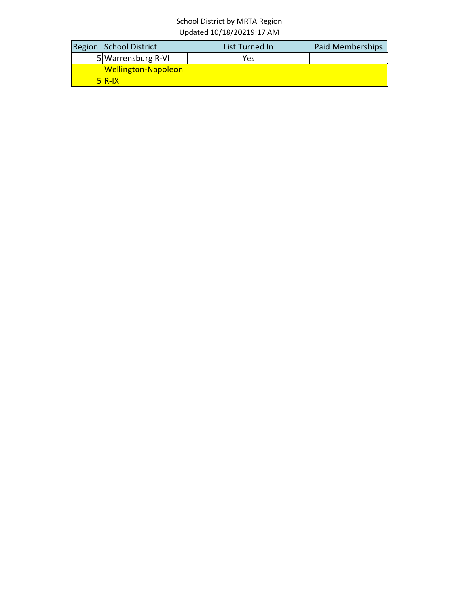| Region School District     | List Turned In | <b>Paid Memberships</b> |
|----------------------------|----------------|-------------------------|
| 5 Warrensburg R-VI         | Yes            |                         |
| <b>Wellington-Napoleon</b> |                |                         |
| $5$ R-IX                   |                |                         |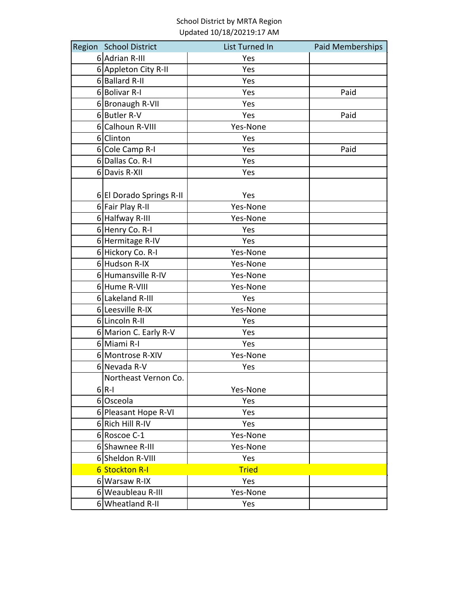| Region School District   | List Turned In | Paid Memberships |
|--------------------------|----------------|------------------|
| 6 Adrian R-III           | Yes            |                  |
| 6 Appleton City R-II     | Yes            |                  |
| 6 Ballard R-II           | Yes            |                  |
| 6Bolivar R-I             | Yes            | Paid             |
| 6 Bronaugh R-VII         | Yes            |                  |
| 6Butler R-V              | Yes            | Paid             |
| 6 Calhoun R-VIII         | Yes-None       |                  |
| 6 Clinton                | Yes            |                  |
| 6 Cole Camp R-I          | Yes            | Paid             |
| 6 Dallas Co. R-I         | Yes            |                  |
| 6 Davis R-XII            | Yes            |                  |
| 6 El Dorado Springs R-II | Yes            |                  |
| 6 Fair Play R-II         | Yes-None       |                  |
| 6 Halfway R-III          | Yes-None       |                  |
| 6 Henry Co. R-I          | Yes            |                  |
| 6 Hermitage R-IV         | Yes            |                  |
| 6 Hickory Co. R-I        | Yes-None       |                  |
| 6 Hudson R-IX            | Yes-None       |                  |
| 6 Humansville R-IV       | Yes-None       |                  |
| 6 Hume R-VIII            | Yes-None       |                  |
| 6 Lakeland R-III         | Yes            |                  |
| 6 Leesville R-IX         | Yes-None       |                  |
| 6 Lincoln R-II           | Yes            |                  |
| 6 Marion C. Early R-V    | Yes            |                  |
| 6 Miami R-I              | Yes            |                  |
| 6 Montrose R-XIV         | Yes-None       |                  |
| 6 Nevada R-V             | Yes            |                  |
| Northeast Vernon Co.     |                |                  |
| $6 R-1$                  | Yes-None       |                  |
| 6Osceola                 | Yes            |                  |
| 6 Pleasant Hope R-VI     | Yes            |                  |
| 6 Rich Hill R-IV         | Yes            |                  |
| 6 Roscoe C-1             | Yes-None       |                  |
| 6 Shawnee R-III          | Yes-None       |                  |
| 6 Sheldon R-VIII         | Yes            |                  |
| <b>6 Stockton R-I</b>    | <b>Tried</b>   |                  |
| 6 Warsaw R-IX            | Yes            |                  |
| 6 Weaubleau R-III        | Yes-None       |                  |
| 6 Wheatland R-II         | Yes            |                  |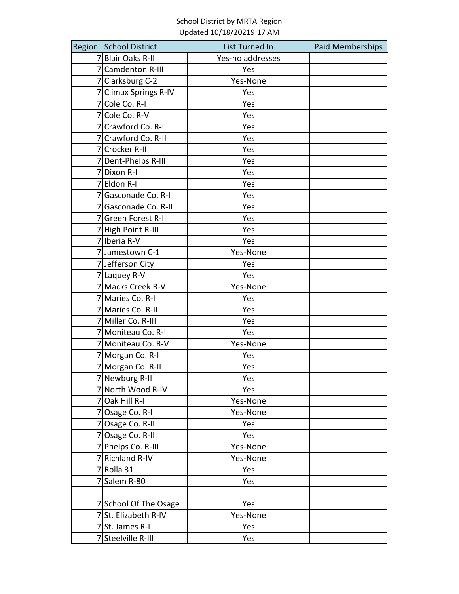| Region School District | List Turned In   | Paid Memberships |
|------------------------|------------------|------------------|
| 7 Blair Oaks R-II      | Yes-no addresses |                  |
| 7 Camdenton R-III      | Yes              |                  |
| 7 Clarksburg C-2       | Yes-None         |                  |
| 7 Climax Springs R-IV  | Yes              |                  |
| 7 Cole Co. R-I         | Yes              |                  |
| 7 Cole Co. R-V         | Yes              |                  |
| 7 Crawford Co. R-I     | Yes              |                  |
| 7 Crawford Co. R-II    | Yes              |                  |
| 7 Crocker R-II         | Yes              |                  |
| 7 Dent-Phelps R-III    | Yes              |                  |
| 7Dixon R-I             | Yes              |                  |
| 7 Eldon R-I            | Yes              |                  |
| 7 Gasconade Co. R-I    | Yes              |                  |
| 7 Gasconade Co. R-II   | Yes              |                  |
| 7 Green Forest R-II    | Yes              |                  |
| 7 High Point R-III     | Yes              |                  |
| 7 Iberia R-V           | Yes              |                  |
| 7 Jamestown C-1        | Yes-None         |                  |
| 7 Jefferson City       | Yes              |                  |
| 7 Laquey R-V           | Yes              |                  |
| 7 Macks Creek R-V      | Yes-None         |                  |
| 7 Maries Co. R-I       | Yes              |                  |
| 7 Maries Co. R-II      | Yes              |                  |
| 7 Miller Co. R-III     | Yes              |                  |
| 7 Moniteau Co. R-I     | Yes              |                  |
| 7 Moniteau Co. R-V     | Yes-None         |                  |
| 7 Morgan Co. R-I       | Yes              |                  |
| 7 Morgan Co. R-II      | Yes              |                  |
| 7 Newburg R-II         | Yes              |                  |
| 7 North Wood R-IV      | Yes              |                  |
| $7$ Oak Hill R-I       | Yes-None         |                  |
| 7 Osage Co. R-I        | Yes-None         |                  |
| 7 Osage Co. R-II       | Yes              |                  |
| 7 Osage Co. R-III      | Yes              |                  |
| 7 Phelps Co. R-III     | Yes-None         |                  |
| 7 Richland R-IV        | Yes-None         |                  |
| 7 Rolla 31             | Yes              |                  |
| 7 Salem R-80           | Yes              |                  |
|                        |                  |                  |
| 7 School Of The Osage  | Yes              |                  |
| 7 St. Elizabeth R-IV   | Yes-None         |                  |
| 7 St. James R-I        | Yes              |                  |
| 7 Steelville R-III     | Yes              |                  |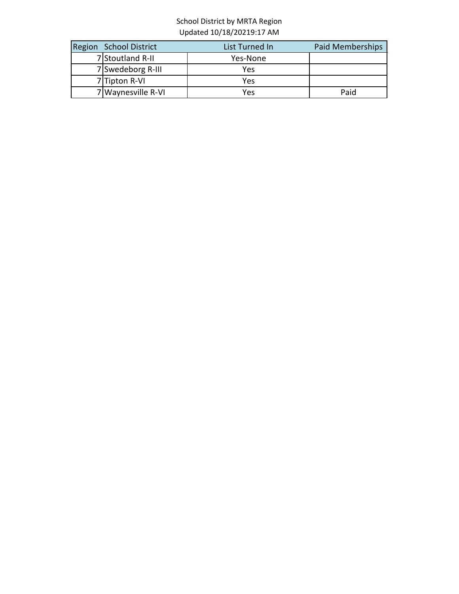| Region School District | List Turned In | Paid Memberships |
|------------------------|----------------|------------------|
| 7 Stoutland R-II       | Yes-None       |                  |
| 7 Swedeborg R-III      | Yes            |                  |
| $7$ Tipton R-VI        | Yes            |                  |
| 7 Waynesville R-VI     | Yes            | Paid             |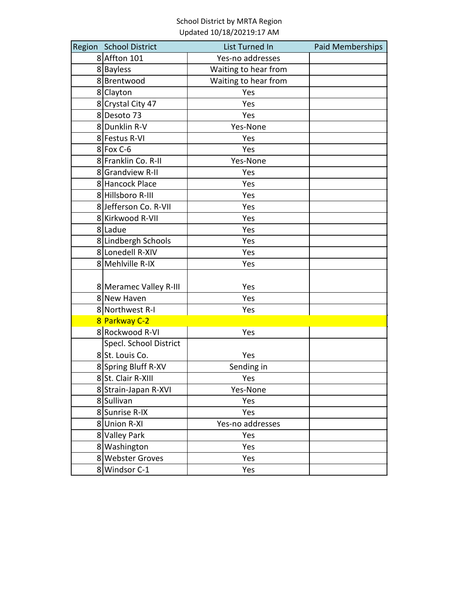| Region School District | List Turned In       | Paid Memberships |
|------------------------|----------------------|------------------|
| 8 Affton 101           | Yes-no addresses     |                  |
| 8Bayless               | Waiting to hear from |                  |
| 8Brentwood             | Waiting to hear from |                  |
| 8 Clayton              | Yes                  |                  |
| 8 Crystal City 47      | Yes                  |                  |
| 8Desoto 73             | Yes                  |                  |
| 8Dunklin R-V           | Yes-None             |                  |
| 8 Festus R-VI          | Yes                  |                  |
| $8$ Fox C-6            | Yes                  |                  |
| 8 Franklin Co. R-II    | Yes-None             |                  |
| 8 Grandview R-II       | Yes                  |                  |
| 8 Hancock Place        | Yes                  |                  |
| 8 Hillsboro R-III      | Yes                  |                  |
| 8 Jefferson Co. R-VII  | Yes                  |                  |
| 8 Kirkwood R-VII       | Yes                  |                  |
| 8 Ladue                | Yes                  |                  |
| 8 Lindbergh Schools    | Yes                  |                  |
| 8 Lonedell R-XIV       | Yes                  |                  |
| 8 Mehlville R-IX       | Yes                  |                  |
|                        |                      |                  |
| 8 Meramec Valley R-III | Yes                  |                  |
| 8 New Haven            | Yes                  |                  |
| 8 Northwest R-I        | Yes                  |                  |
| 8 Parkway C-2          |                      |                  |
| 8 Rockwood R-VI        | Yes                  |                  |
| Specl. School District |                      |                  |
| 8 St. Louis Co.        | Yes                  |                  |
| 8 Spring Bluff R-XV    | Sending in           |                  |
| 8 St. Clair R-XIII     | Yes                  |                  |
| 8 Strain-Japan R-XVI   | Yes-None             |                  |
| 8Sullivan              | Yes                  |                  |
| 8 Sunrise R-IX         | Yes                  |                  |
| 8Union R-XI            | Yes-no addresses     |                  |
| 8 Valley Park          | Yes                  |                  |
| 8 Washington           | Yes                  |                  |
| 8 Webster Groves       | Yes                  |                  |
| 8 Windsor C-1          | Yes                  |                  |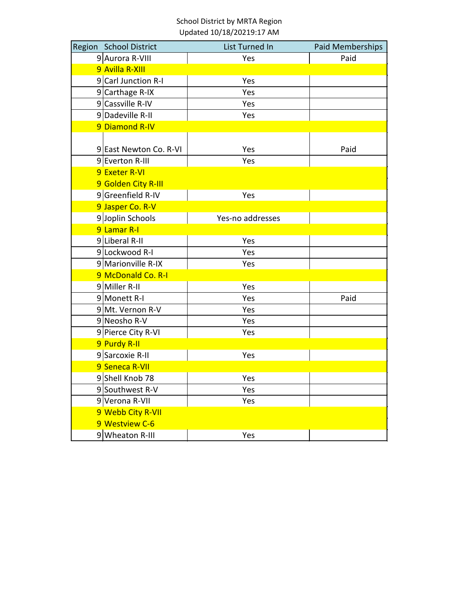| Region School District | <b>List Turned In</b> | Paid Memberships |
|------------------------|-----------------------|------------------|
| 9 Aurora R-VIII        | Yes                   | Paid             |
| 9 Avilla R-XIII        |                       |                  |
| 9 Carl Junction R-I    | Yes                   |                  |
| 9 Carthage R-IX        | Yes                   |                  |
| 9 Cassville R-IV       | Yes                   |                  |
| 9 Dadeville R-II       | Yes                   |                  |
| 9 Diamond R-IV         |                       |                  |
|                        |                       |                  |
| 9 East Newton Co. R-VI | Yes                   | Paid             |
| 9 Everton R-III        | Yes                   |                  |
| 9 Exeter R-VI          |                       |                  |
| 9 Golden City R-III    |                       |                  |
| 9 Greenfield R-IV      | Yes                   |                  |
| 9 Jasper Co. R-V       |                       |                  |
| 9 Joplin Schools       | Yes-no addresses      |                  |
| 9 Lamar R-I            |                       |                  |
| 9 Liberal R-II         | Yes                   |                  |
| 9 Lockwood R-I         | Yes                   |                  |
| 9 Marionville R-IX     | Yes                   |                  |
| 9 McDonald Co. R-I     |                       |                  |
| 9 Miller R-II          | Yes                   |                  |
| 9 Monett R-I           | Yes                   | Paid             |
| 9 Mt. Vernon R-V       | Yes                   |                  |
| 9 Neosho R-V           | Yes                   |                  |
| 9 Pierce City R-VI     | Yes                   |                  |
| 9 Purdy R-II           |                       |                  |
| 9 Sarcoxie R-II        | Yes                   |                  |
| 9 Seneca R-VII         |                       |                  |
| 9 Shell Knob 78        | Yes                   |                  |
| 9 Southwest R-V        | Yes                   |                  |
| 9 Verona R-VII         | Yes                   |                  |
| 9 Webb City R-VII      |                       |                  |
| 9 Westview C-6         |                       |                  |
| 9 Wheaton R-III        | Yes                   |                  |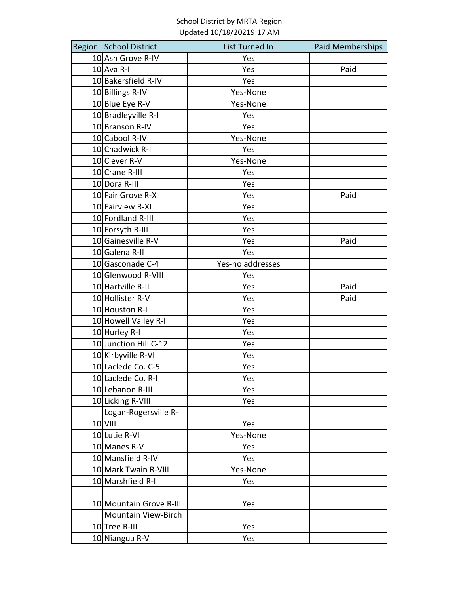| Region School District     | List Turned In   | Paid Memberships |
|----------------------------|------------------|------------------|
| 10 Ash Grove R-IV          | Yes              |                  |
| $10$ Ava R-I               | Yes              | Paid             |
| 10 Bakersfield R-IV        | Yes              |                  |
| 10 Billings R-IV           | Yes-None         |                  |
| 10 Blue Eye R-V            | Yes-None         |                  |
| 10 Bradleyville R-I        | Yes              |                  |
| 10 Branson R-IV            | Yes              |                  |
| 10 Cabool R-IV             | Yes-None         |                  |
| 10 Chadwick R-I            | Yes              |                  |
| 10 Clever R-V              | Yes-None         |                  |
| 10 Crane R-III             | Yes              |                  |
| 10 Dora R-III              | Yes              |                  |
| 10 Fair Grove R-X          | Yes              | Paid             |
| 10 Fairview R-XI           | Yes              |                  |
| 10 Fordland R-III          | Yes              |                  |
| 10 Forsyth R-III           | Yes              |                  |
| 10 Gainesville R-V         | Yes              | Paid             |
| 10 Galena R-II             | Yes              |                  |
| 10 Gasconade C-4           | Yes-no addresses |                  |
| 10 Glenwood R-VIII         | Yes              |                  |
| 10 Hartville R-II          | Yes              | Paid             |
| 10 Hollister R-V           | Yes              | Paid             |
| 10 Houston R-I             | Yes              |                  |
| 10 Howell Valley R-I       | Yes              |                  |
| 10 Hurley R-I              | Yes              |                  |
| 10 Junction Hill C-12      | Yes              |                  |
| 10 Kirbyville R-VI         | Yes              |                  |
| 10 Laclede Co. C-5         | Yes              |                  |
| 10 Laclede Co. R-I         | Yes              |                  |
| 10 Lebanon R-III           | Yes              |                  |
| 10 Licking R-VIII          | Yes              |                  |
| Logan-Rogersville R-       |                  |                  |
| $10$ VIII                  | Yes              |                  |
| 10 Lutie R-VI              | Yes-None         |                  |
| 10 Manes R-V               | Yes              |                  |
| 10 Mansfield R-IV          | Yes              |                  |
| 10 Mark Twain R-VIII       | Yes-None         |                  |
| 10 Marshfield R-I          | Yes              |                  |
|                            |                  |                  |
| 10 Mountain Grove R-III    | Yes              |                  |
| <b>Mountain View-Birch</b> |                  |                  |
| 10 Tree R-III              | Yes              |                  |
| 10 Niangua R-V             | Yes              |                  |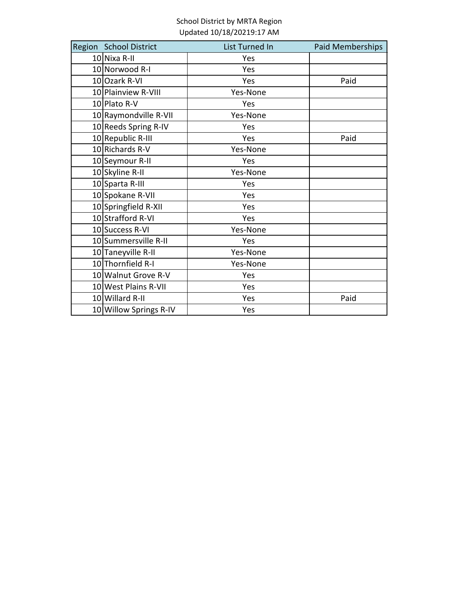| Region School District | List Turned In | Paid Memberships |
|------------------------|----------------|------------------|
| 10 Nixa R-II           | Yes            |                  |
| 10 Norwood R-I         | Yes            |                  |
| 10 Ozark R-VI          | Yes            | Paid             |
| 10 Plainview R-VIII    | Yes-None       |                  |
| 10 Plato R-V           | Yes            |                  |
| 10 Raymondville R-VII  | Yes-None       |                  |
| 10 Reeds Spring R-IV   | Yes            |                  |
| 10 Republic R-III      | Yes            | Paid             |
| 10 Richards R-V        | Yes-None       |                  |
| 10 Seymour R-II        | Yes            |                  |
| 10 Skyline R-II        | Yes-None       |                  |
| 10 Sparta R-III        | Yes            |                  |
| 10 Spokane R-VII       | Yes            |                  |
| 10 Springfield R-XII   | Yes            |                  |
| 10 Strafford R-VI      | Yes            |                  |
| 10 Success R-VI        | Yes-None       |                  |
| 10 Summersville R-II   | Yes            |                  |
| 10 Taneyville R-II     | Yes-None       |                  |
| 10 Thornfield R-I      | Yes-None       |                  |
| 10 Walnut Grove R-V    | Yes            |                  |
| 10 West Plains R-VII   | Yes            |                  |
| 10 Willard R-II        | Yes            | Paid             |
| 10 Willow Springs R-IV | Yes            |                  |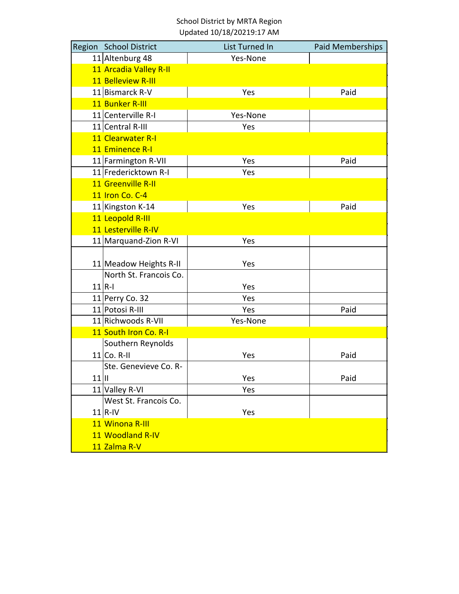| Region School District | List Turned In | <b>Paid Memberships</b> |
|------------------------|----------------|-------------------------|
| 11 Altenburg 48        | Yes-None       |                         |
| 11 Arcadia Valley R-II |                |                         |
| 11 Belleview R-III     |                |                         |
| 11 Bismarck R-V        | Yes            | Paid                    |
| 11 Bunker R-III        |                |                         |
| 11 Centerville R-I     | Yes-None       |                         |
| 11 Central R-III       | Yes            |                         |
| 11 Clearwater R-I      |                |                         |
| 11 Eminence R-I        |                |                         |
| 11 Farmington R-VII    | Yes            | Paid                    |
| 11 Fredericktown R-I   | Yes            |                         |
| 11 Greenville R-II     |                |                         |
| 11 Iron Co. C-4        |                |                         |
| 11 Kingston K-14       | Yes            | Paid                    |
| 11 Leopold R-III       |                |                         |
| 11 Lesterville R-IV    |                |                         |
| 11 Marquand-Zion R-VI  | Yes            |                         |
|                        |                |                         |
| 11 Meadow Heights R-II | Yes            |                         |
| North St. Francois Co. |                |                         |
| $11 R-1$               | Yes            |                         |
| 11 Perry Co. 32        | Yes            |                         |
| 11 Potosi R-III        | Yes            | Paid                    |
| 11 Richwoods R-VII     | Yes-None       |                         |
| 11 South Iron Co. R-I  |                |                         |
| Southern Reynolds      |                |                         |
| $11$ Co. R-II          | Yes            | Paid                    |
| Ste. Genevieve Co. R-  |                |                         |
| $11$                   | Yes            | Paid                    |
| 11 Valley R-VI         | Yes            |                         |
| West St. Francois Co.  |                |                         |
| $11$ R-IV              | Yes            |                         |
| 11 Winona R-III        |                |                         |
| 11 Woodland R-IV       |                |                         |
| 11 Zalma R-V           |                |                         |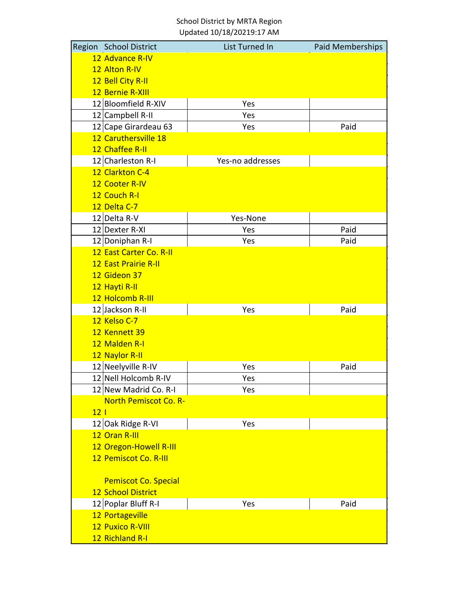|                 | Region School District       | List Turned In   | <b>Paid Memberships</b> |
|-----------------|------------------------------|------------------|-------------------------|
|                 | 12 Advance R-IV              |                  |                         |
|                 | 12 Alton R-IV                |                  |                         |
|                 | 12 Bell City R-II            |                  |                         |
|                 | 12 Bernie R-XIII             |                  |                         |
|                 | 12 Bloomfield R-XIV          | Yes              |                         |
|                 | 12 Campbell R-II             | Yes              |                         |
|                 | 12 Cape Girardeau 63         | Yes              | Paid                    |
|                 | 12 Caruthersville 18         |                  |                         |
|                 | 12 Chaffee R-II              |                  |                         |
|                 | 12 Charleston R-I            | Yes-no addresses |                         |
|                 | 12 Clarkton C-4              |                  |                         |
|                 | 12 Cooter R-IV               |                  |                         |
|                 | 12 Couch R-I                 |                  |                         |
|                 | 12 Delta C-7                 |                  |                         |
|                 | 12 Delta R-V                 | Yes-None         |                         |
|                 | 12 Dexter R-XI               | Yes              | Paid                    |
|                 | 12 Doniphan R-I              | Yes              | Paid                    |
|                 | 12 East Carter Co. R-II      |                  |                         |
|                 | <b>12 East Prairie R-II</b>  |                  |                         |
|                 | 12 Gideon 37                 |                  |                         |
|                 | 12 Hayti R-II                |                  |                         |
|                 | 12 Holcomb R-III             |                  |                         |
|                 | 12 Jackson R-II              | Yes              | Paid                    |
|                 | 12 Kelso C-7                 |                  |                         |
|                 | 12 Kennett 39                |                  |                         |
|                 | 12 Malden R-I                |                  |                         |
|                 | 12 Naylor R-II               |                  |                         |
|                 | 12 Neelyville R-IV           | Yes              | Paid                    |
|                 | 12 Nell Holcomb R-IV         | Yes              |                         |
|                 | 12 New Madrid Co. R-I        | Yes              |                         |
|                 | <b>North Pemiscot Co. R-</b> |                  |                         |
| 12 <sub>1</sub> |                              |                  |                         |
|                 | 12 Oak Ridge R-VI            | Yes              |                         |
|                 | 12 Oran R-III                |                  |                         |
|                 | 12 Oregon-Howell R-III       |                  |                         |
|                 | 12 Pemiscot Co. R-III        |                  |                         |
|                 |                              |                  |                         |
|                 | <b>Pemiscot Co. Special</b>  |                  |                         |
|                 | <b>12 School District</b>    |                  |                         |
|                 | 12 Poplar Bluff R-I          | Yes              | Paid                    |
|                 | 12 Portageville              |                  |                         |
|                 | <b>12 Puxico R-VIII</b>      |                  |                         |
|                 | 12 Richland R-I              |                  |                         |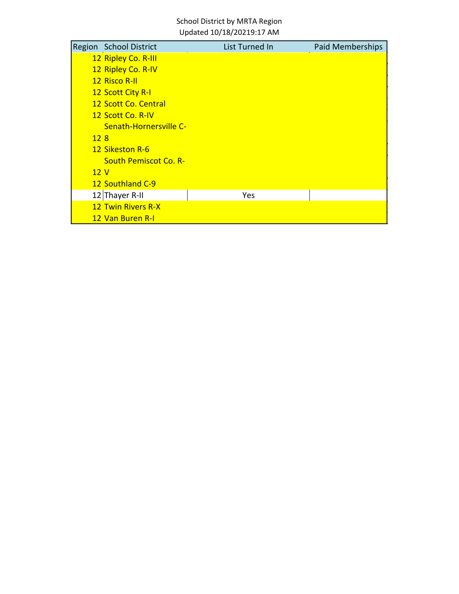|     | Region School District       | List Turned In | Paid Memberships |
|-----|------------------------------|----------------|------------------|
|     | 12 Ripley Co. R-III          |                |                  |
|     | 12 Ripley Co. R-IV           |                |                  |
|     | <b>12 Risco R-II</b>         |                |                  |
|     | <b>12 Scott City R-I</b>     |                |                  |
|     | 12 Scott Co. Central         |                |                  |
|     | 12 Scott Co. R-IV            |                |                  |
|     | Senath-Hornersville C-       |                |                  |
| 128 |                              |                |                  |
|     | 12 Sikeston R-6              |                |                  |
|     | <b>South Pemiscot Co. R-</b> |                |                  |
| 12V |                              |                |                  |
|     | 12 Southland C-9             |                |                  |
|     | 12 Thayer R-II               | Yes            |                  |
|     | <b>12 Twin Rivers R-X</b>    |                |                  |
|     | 12 Van Buren R-I             |                |                  |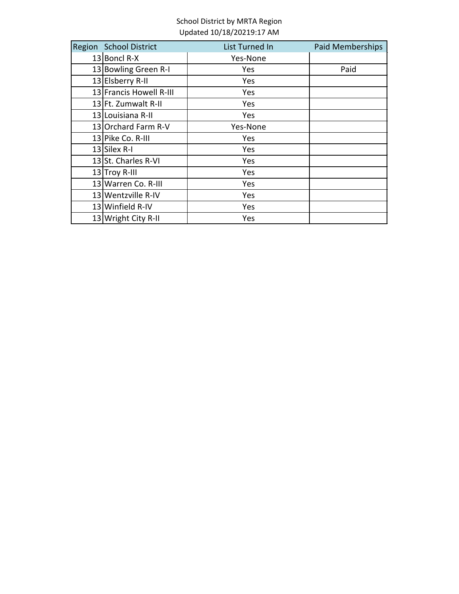| Region School District  | List Turned In | Paid Memberships |
|-------------------------|----------------|------------------|
| $13$ Boncl R-X          | Yes-None       |                  |
| 13 Bowling Green R-I    | Yes            | Paid             |
| 13 Elsberry R-II        | Yes            |                  |
| 13 Francis Howell R-III | Yes            |                  |
| 13 Ft. Zumwalt R-II     | Yes            |                  |
| 13 Louisiana R-II       | Yes            |                  |
| 13 Orchard Farm R-V     | Yes-None       |                  |
| 13 Pike Co. R-III       | Yes            |                  |
| $13$ Silex R-I          | Yes            |                  |
| 13 St. Charles R-VI     | Yes            |                  |
| 13 Troy R-III           | Yes            |                  |
| 13 Warren Co. R-III     | Yes            |                  |
| 13 Wentzville R-IV      | Yes            |                  |
| 13 Winfield R-IV        | Yes            |                  |
| 13 Wright City R-II     | Yes            |                  |